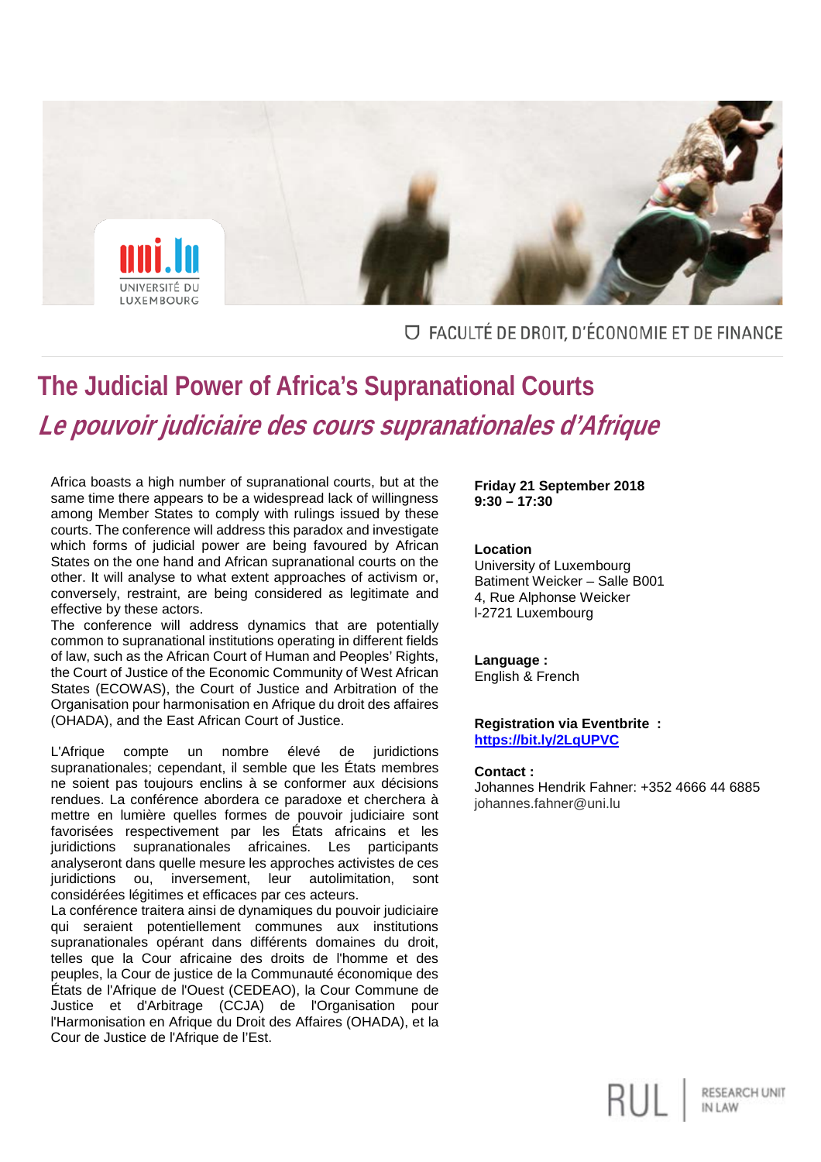

### O FACULTÉ DE DROIT, D'ÉCONOMIE ET DE FINANCE

# **The Judicial Power of Africa's Supranational Courts Le pouvoir judiciaire des cours supranationales d'Afrique**

Africa boasts a high number of supranational courts, but at the same time there appears to be a widespread lack of willingness among Member States to comply with rulings issued by these courts. The conference will address this paradox and investigate which forms of judicial power are being favoured by African States on the one hand and African supranational courts on the other. It will analyse to what extent approaches of activism or, conversely, restraint, are being considered as legitimate and effective by these actors.

The conference will address dynamics that are potentially common to supranational institutions operating in different fields of law, such as the African Court of Human and Peoples' Rights, the Court of Justice of the Economic Community of West African States (ECOWAS), the Court of Justice and Arbitration of the Organisation pour harmonisation en Afrique du droit des affaires (OHADA), and the East African Court of Justice.

L'Afrique compte un nombre élevé de juridictions supranationales; cependant, il semble que les États membres ne soient pas toujours enclins à se conformer aux décisions rendues. La conférence abordera ce paradoxe et cherchera à mettre en lumière quelles formes de pouvoir judiciaire sont favorisées respectivement par les États africains et les juridictions supranationales africaines. Les participants analyseront dans quelle mesure les approches activistes de ces juridictions ou, inversement, leur autolimitation, sont considérées légitimes et efficaces par ces acteurs.

La conférence traitera ainsi de dynamiques du pouvoir judiciaire qui seraient potentiellement communes aux institutions supranationales opérant dans différents domaines du droit, telles que la Cour africaine des droits de l'homme et des peuples, la Cour de justice de la Communauté économique des États de l'Afrique de l'Ouest (CEDEAO), la Cour Commune de Justice et d'Arbitrage (CCJA) de l'Organisation pour l'Harmonisation en Afrique du Droit des Affaires (OHADA), et la Cour de Justice de l'Afrique de l'Est.

**Friday 21 September 2018 9:30 – 17:30**

#### **Location**

University of Luxembourg Batiment Weicker – Salle B001 4, Rue Alphonse Weicker l-2721 Luxembourg

**Language :**  English & French

#### **Registration via Eventbrite : <https://bit.ly/2LqUPVC>**

#### **Contact :**

Johannes Hendrik Fahner: +352 4666 44 6885 johannes.fahner@uni.lu

RESEARCH UNIT

IN LAW